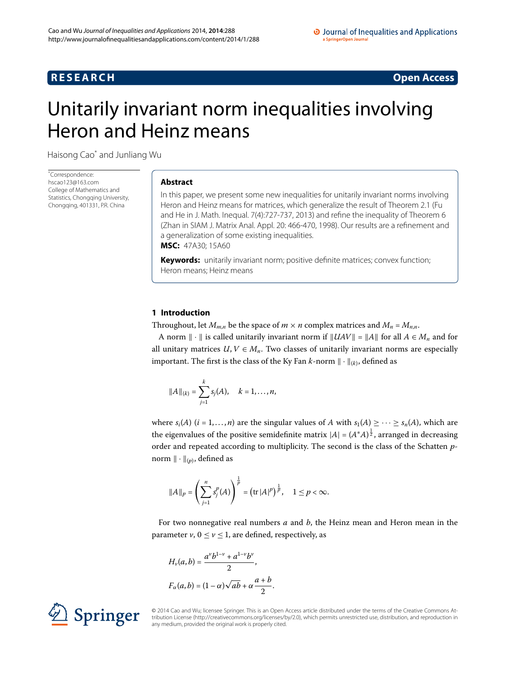## **RESEARCH CONSTRUCTER ACCESS**

# <span id="page-0-0"></span>Unitarily invariant norm inequalities involving Heron and Heinz means

Haisong Ca[o\\*](#page-0-0) and Junliang Wu

\* Correspondence: [hscao123@163.com](mailto:hscao123@163.com) College of Mathematics and Statistics, Chongqing University, Chongqing, 401331, P.R. China

### **Abstract**

In this paper, we present some new inequalities for unitarily invariant norms involving Heron and Heinz means for matrices, which generalize the result of Theorem 2.1 (Fu and He in J. Math. Inequal. 7(4):727-737, 2013) and refine the inequality of Theorem 6 (Zhan in SIAM J. Matrix Anal. Appl. 20: 466-470, 1998). Our results are a refinement and a generalization of some existing inequalities. **MSC:** 47A30; 15A60

**Keywords:** unitarily invariant norm; positive definite matrices; convex function; Heron means; Heinz means

## **1 Introduction**

Throughout, let  $M_{m,n}$  be the space of  $m \times n$  complex matrices and  $M_n = M_{n,n}$ .

A norm  $\| \cdot \|$  is called unitarily invariant norm if  $\| UAV \| = \| A \|$  for all  $A \in M_n$  and for all unitary matrices  $U, V \in M_n$ . Two classes of unitarily invariant norms are especially important. The first is the class of the Ky Fan *k*-norm  $\|\cdot\|_{(k)}$ , defined as

$$
||A||_{(k)} = \sum_{j=1}^{k} s_j(A), \quad k = 1, \ldots, n,
$$

where  $s_i(A)$  ( $i = 1,...,n$ ) are the singular values of *A* with  $s_1(A) \geq \cdots \geq s_n(A)$ , which are the eigenvalues of the positive semidefinite matrix  $|A| = (A^*A)^{\frac{1}{2}}$ , arranged in decreasing order and repeated according to multiplicity. The second is the class of the Schatten *p*norm  $\|\cdot\|_{(p)}$ , defined as

$$
||A||_p = \left(\sum_{j=1}^n s_j^p(A)\right)^{\frac{1}{p}} = \left(\text{tr}|A|^p\right)^{\frac{1}{p}}, \quad 1 \leq p < \infty.
$$

For two nonnegative real numbers *a* and *b*, the Heinz mean and Heron mean in the parameter  $v, 0 \le v \le 1$ , are defined, respectively, as

$$
H_{\nu}(a,b) = \frac{a^{\nu}b^{1-\nu} + a^{1-\nu}b^{\nu}}{2},
$$
  

$$
F_{\alpha}(a,b) = (1-\alpha)\sqrt{ab} + \alpha\frac{a+b}{2}.
$$



© 2014 Cao and Wu; licensee Springer. This is an Open Access article distributed under the terms of the Creative Commons Attribution License ([http://creativecommons.org/licenses/by/2.0\)](http://creativecommons.org/licenses/by/2.0), which permits unrestricted use, distribution, and reproduction in any medium, provided the original work is properly cited.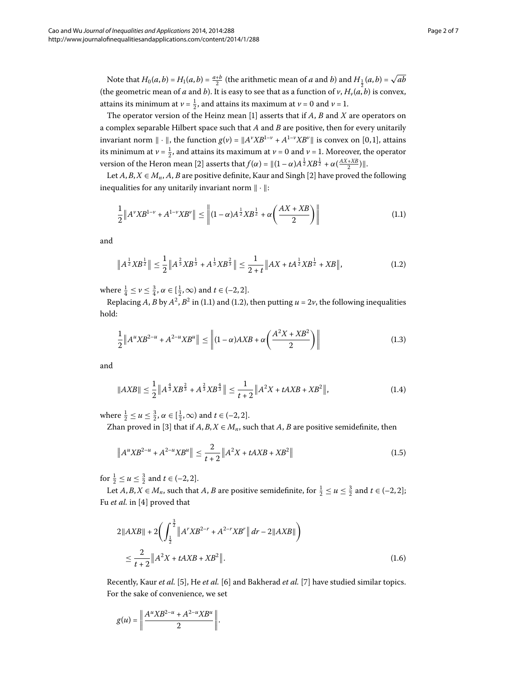Note that  $H_0(a, b) = H_1(a, b) = \frac{a+b}{2}$  (the arithmetic mean of *a* and *b*) and  $H_{\frac{1}{2}}(a, b) = \sqrt{ab}$ (the geometric mean of *a* and *b*). It is easy to see that as a function of *v*,  $H_v(a, b)$  is convex, attains its minimum at  $\nu = \frac{1}{2}$ , and attains its maximum at  $\nu = 0$  and  $\nu = 1$ .

The operator version of the Heinz mean [[\]](#page-6-0) asserts that if *A*, *B* and *X* are operators on a complex separable Hilbert space such that *A* and *B* are positive, then for every unitarily invariant norm  $\| \cdot \|$ , the function  $g(v) = \|A^v X B^{1-v} + A^{1-v} X B^v \|$  is convex on [0,1], attains its minimum at  $v = \frac{1}{2}$ , and attains its maximum at  $v = 0$  and  $v = 1$ . Moreover, the operator version of the Heron mean [2[\]](#page-6-1) asserts that  $f(\alpha) = ||(1 - \alpha)A^{\frac{1}{2}}XB^{\frac{1}{2}} + \alpha(\frac{AX+XB}{2})||$ .

Let  $A, B, X \in M_n$ ,  $A, B$  are positive definite, Kaur and Singh [2[\]](#page-6-1) have proved the following inequalities for any unitarily invariant norm  $\|\cdot\|$ :

<span id="page-1-1"></span><span id="page-1-0"></span>
$$
\frac{1}{2} \|A^{\nu}XB^{1-\nu} + A^{1-\nu}XB^{\nu}\| \le \left\| (1-\alpha)A^{\frac{1}{2}}XB^{\frac{1}{2}} + \alpha\left(\frac{AX+XB}{2}\right) \right\| \tag{1.1}
$$

and

<span id="page-1-4"></span>
$$
\left\|A^{\frac{1}{2}}XB^{\frac{1}{2}}\right\| \le \frac{1}{2}\left\|A^{\frac{2}{3}}XB^{\frac{1}{3}} + A^{\frac{1}{3}}XB^{\frac{2}{3}}\right\| \le \frac{1}{2+t}\left\|AX + tA^{\frac{1}{2}}XB^{\frac{1}{2}} + XB\right\|,\tag{1.2}
$$

where  $\frac{1}{4} \leq \nu \leq \frac{3}{4}$ ,  $\alpha \in [\frac{1}{2}, \infty)$  and  $t \in (-2, 2]$ .

Replacing *A*, *B* by  $A^2$ ,  $B^2$  in (1.1) and (1.2), then putting  $u = 2v$ , the following inequalities hold:

$$
\frac{1}{2} \|A^u X B^{2-u} + A^{2-u} X B^u \| \le \| (1 - \alpha) AXB + \alpha \left( \frac{A^2 X + X B^2}{2} \right) \|
$$
\n(1.3)

and

<span id="page-1-3"></span>
$$
||AXB|| \leq \frac{1}{2} ||A^{\frac{4}{3}}XB^{\frac{2}{3}} + A^{\frac{2}{3}}XB^{\frac{4}{3}}|| \leq \frac{1}{t+2} ||A^2X + tAXB + XB^2||,
$$
\n(1.4)

where  $\frac{1}{2} \le u \le \frac{3}{2}$ ,  $\alpha \in [\frac{1}{2}, \infty)$  and  $t \in (-2, 2]$ .

Zhan proved in [3[\]](#page-6-2) that if  $A, B, X \in M_n$ , such that  $A, B$  are positive semidefinite, then

<span id="page-1-2"></span>
$$
\left\|A^{u}XB^{2-u} + A^{2-u}XB^{u}\right\| \le \frac{2}{t+2} \left\|A^{2}X + tAXB + XB^{2}\right\| \tag{1.5}
$$

for  $\frac{1}{2} \le u \le \frac{3}{2}$  and  $t \in (-2, 2]$ .

Let  $A, B, X \in M_n$ , such that  $A, B$  are positive semidefinite, for  $\frac{1}{2} \le u \le \frac{3}{2}$  and  $t \in (-2, 2]$ ; Fu *et al.* in [4[\]](#page-6-3) proved that

$$
2\|AXB\| + 2\left(\int_{\frac{1}{2}}^{\frac{3}{2}} \|A^rXB^{2-r} + A^{2-r}XB^r\| dr - 2\|AXB\| \right) \le \frac{2}{t+2} \|A^2X + tAXB + XB^2\|.
$$
\n(1.6)

Recently, Kaur *et al.* [\[](#page-6-5)5[\]](#page-6-6), He *et al.* [6] and Bakherad *et al.* [7] have studied similar topics. For the sake of convenience, we set

$$
g(u) = \left\| \frac{A^u X B^{2-u} + A^{2-u} X B^u}{2} \right\|.
$$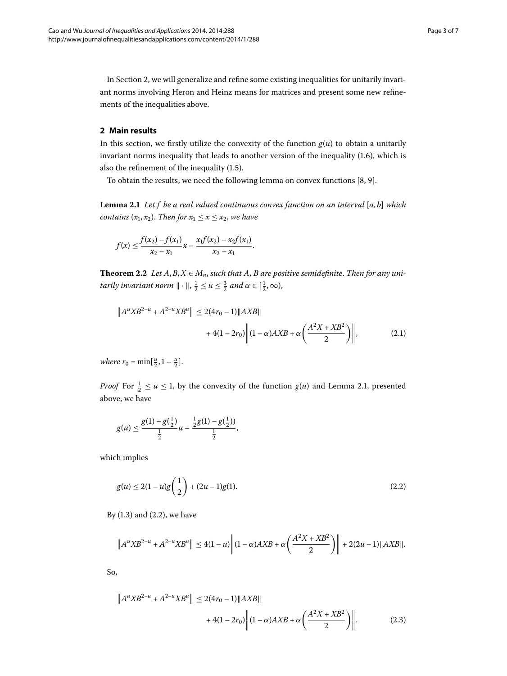<span id="page-2-0"></span>In Section 2[,](#page-2-0) we will generalize and refine some existing inequalities for unitarily invariant norms involving Heron and Heinz means for matrices and present some new refinements of the inequalities above.

## <span id="page-2-1"></span>**2 Main results**

In this section, we firstly utilize the convexity of the function  $g(u)$  to obtain a unitarily invariant norms inequality that leads to another version of the inequality  $(1.6)$ , which is also the refinement of the inequality  $(1.5)$ .

To obtain the results[,](#page-6-7) we need the following lemma on convex functions  $[8, 9]$  $[8, 9]$ .

<span id="page-2-5"></span><span id="page-2-4"></span>**Lemma .** *Let f be a real valued continuous convex function on an interval* [*a*, *b*] *which contains*  $(x_1, x_2)$ *. Then for*  $x_1 \le x \le x_2$ *, we have* 

$$
f(x) \leq \frac{f(x_2) - f(x_1)}{x_2 - x_1} x - \frac{x_1 f(x_2) - x_2 f(x_1)}{x_2 - x_1}.
$$

**Theorem 2.2** Let  $A, B, X \in M_n$ , such that  $A, B$  are positive semidefinite. Then for any uni*tarily invariant norm*  $\|\cdot\|$ ,  $\frac{1}{2} \le u \le \frac{3}{2}$  *and*  $\alpha \in [\frac{1}{2}, \infty)$ ,

$$
||A^u X B^{2-u} + A^{2-u} X B^u|| \le 2(4r_0 - 1)||AXB||
$$
  
+ 4(1 - 2r\_0) ||(1 - \alpha)AXB + \alpha \left(\frac{A^2 X + X B^2}{2}\right)||, \t(2.1)

*where*  $r_0 = \min[\frac{u}{2}, 1 - \frac{u}{2}].$ 

*Proof* For  $\frac{1}{2} \le u \le 1$ , by the convexity of the function  $g(u)$  and Lemma 2[.](#page-2-1)1, presented above, we have

<span id="page-2-2"></span>
$$
g(u) \leq \frac{g(1) - g(\frac{1}{2})}{\frac{1}{2}}u - \frac{\frac{1}{2}g(1) - g(\frac{1}{2}))}{\frac{1}{2}},
$$

which implies

$$
g(u) \le 2(1-u)g\left(\frac{1}{2}\right) + (2u-1)g(1). \tag{2.2}
$$

<span id="page-2-3"></span>By  $(1.3)$  $(1.3)$  $(1.3)$  and  $(2.2)$ , we have

$$
\left\|A^uXB^{2-u}+A^{2-u}XB^u\right\|\leq 4(1-u)\left\|(1-\alpha)AXB+\alpha\left(\frac{A^2X+XB^2}{2}\right)\right\|+2(2u-1)\|AXB\|.
$$

So,

$$
||A^u X B^{2-u} + A^{2-u} X B^u|| \le 2(4r_0 - 1) ||AXB||
$$
  
+ 4(1 - 2r\_0)  $||(1 - \alpha) AXB + \alpha \left(\frac{A^2 X + X B^2}{2}\right)||.$  (2.3)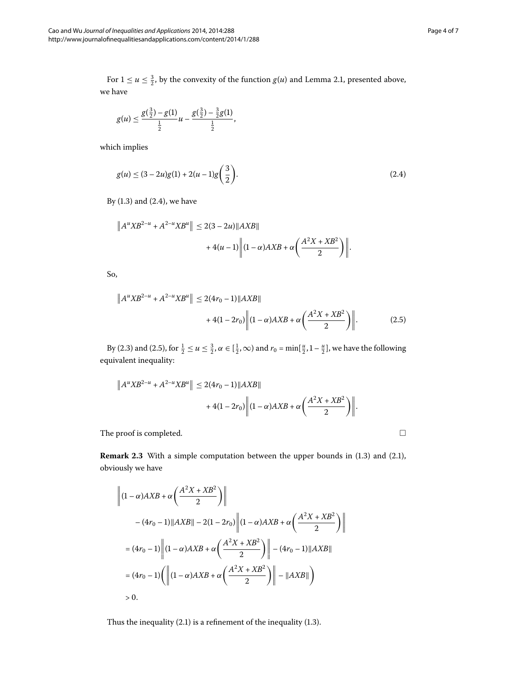For  $1 \le u \le \frac{3}{2}$ , by the convexity of the function  $g(u)$  and Lemma 2[.](#page-2-1)1, presented above, we have

<span id="page-3-0"></span>
$$
g(u) \le \frac{g(\frac{3}{2}) - g(1)}{\frac{1}{2}}u - \frac{g(\frac{3}{2}) - \frac{3}{2}g(1)}{\frac{1}{2}},
$$

which implies

$$
g(u) \le (3 - 2u)g(1) + 2(u - 1)g\left(\frac{3}{2}\right).
$$
\n(2.4)

<span id="page-3-1"></span>By  $(1.3)$  $(1.3)$  $(1.3)$  and  $(2.4)$ , we have

$$
||A^u X B^{2-u} + A^{2-u} X B^u|| \le 2(3 - 2u) ||AXB||
$$
  
+ 4(u - 1)  $||(1 - \alpha) AXB + \alpha \left(\frac{A^2 X + X B^2}{2}\right)||$ .

So,

$$
\|A^u X B^{2-u} + A^{2-u} X B^u \| \le 2(4r_0 - 1) \|AXB\|
$$
  
+ 4(1 - 2r\_0)  $\|(1 - \alpha)AXB + \alpha \left(\frac{A^2 X + X B^2}{2}\right)\|.$  (2.5)

By (2.3) and (2.5), for  $\frac{1}{2} \le u \le \frac{3}{2}$ ,  $\alpha \in [\frac{1}{2}, \infty)$  and  $r_0 = \min[\frac{u}{2}, 1 - \frac{u}{2}]$ , we have the following equivalent inequality:

$$
||A^u X B^{2-u} + A^{2-u} X B^u|| \le 2(4r_0 - 1)||AXB||
$$
  
+ 4(1 - 2r\_0)  $||(1 - \alpha) AXB + \alpha \left(\frac{A^2 X + X B^2}{2}\right)||.$ 

The proof is completed.  $\Box$ 

**Remark 2[.](#page-1-4)3** With a simple computation between the upper bounds in (1.3) and (2.1), obviously we have

$$
\left\| (1 - \alpha) AXB + \alpha \left( \frac{A^2 X + XB^2}{2} \right) \right\|
$$
  
-(4r<sub>0</sub> - 1) ||*AXB*|| - 2(1 - 2r<sub>0</sub>) ||(1 -  $\alpha$ )*AXB* +  $\alpha \left( \frac{A^2 X + XB^2}{2} \right) \right\|$   
=  $(4r_0 - 1) \left\| (1 - \alpha) AXB + \alpha \left( \frac{A^2 X + XB^2}{2} \right) \right\| - (4r_0 - 1) ||AXB||$   
=  $(4r_0 - 1) \left( \left\| (1 - \alpha) AXB + \alpha \left( \frac{A^2 X + XB^2}{2} \right) \right\| - ||AXB|| \right)$   
> 0.

Thus the inequality  $(2.1)$  $(2.1)$  $(2.1)$  is a refinement of the inequality  $(1.3)$ .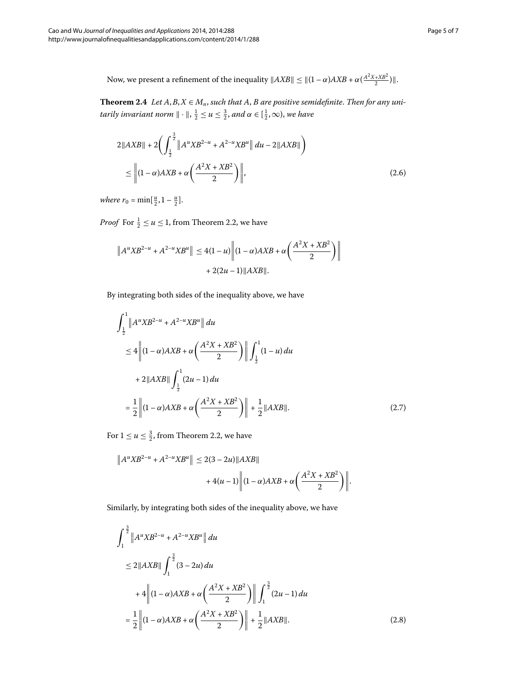<span id="page-4-3"></span>Now, we present a refinement of the inequality  $\|AXB\| \leq \|(1-\alpha)AXB + \alpha(\frac{A^2X+XB^2}{2})\|$ .

**Theorem 2.4** Let  $A, B, X \in M_n$ , such that  $A, B$  are positive semidefinite. Then for any uni $tarily invariant norm  $\|\cdot\|, \frac{1}{2} \le u \le \frac{3}{2}, and \alpha \in [\frac{1}{2}, \infty)$ , we have$ 

<span id="page-4-2"></span>
$$
2\|AXB\| + 2\left(\int_{\frac{1}{2}}^{\frac{3}{2}} \|A^uXB^{2-u} + A^{2-u}XB^u\| \, du - 2\|AXB\| \right) \le \left\|(1-\alpha)AXB + \alpha\left(\frac{A^2X + XB^2}{2}\right)\right\|,
$$
\n(2.6)

*where*  $r_0 = \min[\frac{u}{2}, 1 - \frac{u}{2}].$ 

*Proof* For  $\frac{1}{2} \le u \le 1$ , from Theorem 2.2, we have

$$
||A^u X B^{2-u} + A^{2-u} X B^u|| \le 4(1-u) ||(1-\alpha) AXB + \alpha \left(\frac{A^2 X + X B^2}{2}\right)||
$$
  
+ 2(2u - 1)||AXB||.

By integrating both sides of the inequality above, we have

<span id="page-4-0"></span>
$$
\int_{\frac{1}{2}}^{1} \|A^{u}XB^{2-u} + A^{2-u}XB^{u}\| du
$$
  
\n
$$
\leq 4 \left\| (1-\alpha)AXB + \alpha \left( \frac{A^{2}X + XB^{2}}{2} \right) \right\| \int_{\frac{1}{2}}^{1} (1-u) du
$$
  
\n
$$
+ 2 \|AXB \| \int_{\frac{1}{2}}^{1} (2u - 1) du
$$
  
\n
$$
= \frac{1}{2} \left\| (1-\alpha)AXB + \alpha \left( \frac{A^{2}X + XB^{2}}{2} \right) \right\| + \frac{1}{2} \|AXB\|.
$$
 (2.7)

For  $1 \le u \le \frac{3}{2}$ , from Theorem 2[.](#page-2-5)2, we have

$$
||A^u X B^{2-u} + A^{2-u} X B^u|| \le 2(3 - 2u) ||AXB||
$$
  
+  $4(u - 1) ||(1 - \alpha) AXB + \alpha \left(\frac{A^2 X + X B^2}{2}\right)||.$ 

Similarly, by integrating both sides of the inequality above, we have

<span id="page-4-1"></span>
$$
\int_{1}^{\frac{3}{2}} \|A^{u}XB^{2-u} + A^{2-u}XB^{u}\| du
$$
  
\n
$$
\leq 2\|AXB\| \int_{1}^{\frac{3}{2}} (3-2u) du
$$
  
\n
$$
+ 4\| (1-\alpha)AXB + \alpha \left(\frac{A^{2}X + XB^{2}}{2}\right) \| \int_{1}^{\frac{3}{2}} (2u-1) du
$$
  
\n
$$
= \frac{1}{2} \|(1-\alpha)AXB + \alpha \left(\frac{A^{2}X + XB^{2}}{2}\right) \| + \frac{1}{2}||AXB||.
$$
 (2.8)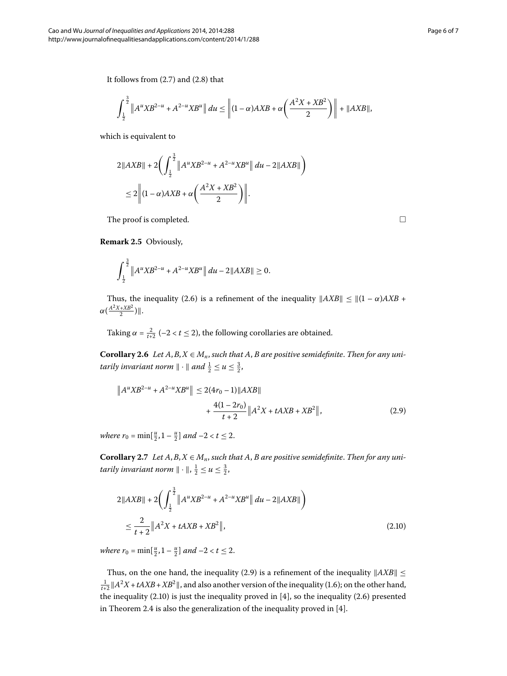It follows from  $(2.7)$  $(2.7)$  $(2.7)$  and  $(2.8)$  that

$$
\int_{\frac{1}{2}}^{\frac{3}{2}} \|A^u X B^{2-u} + A^{2-u} X B^u \| \ du \le \| (1-\alpha) AXB + \alpha \left( \frac{A^2 X + X B^2}{2} \right) \| + \|AXB\|,
$$

which is equivalent to

$$
2\|AXB\| + 2\biggl(\int_{\frac{1}{2}}^{\frac{3}{2}} \|A^uXB^{2-u} + A^{2-u}XB^u\| \, du - 2\|AXB\|\biggr) \\
\leq 2\biggl\|(1-\alpha)AXB + \alpha\biggl(\frac{A^2X + XB^2}{2}\biggr)\biggr\|.
$$

The proof is completed.  $\Box$ 

**Remark 2.5 Obviously,** 

$$
\int_{\frac{1}{2}}^{\frac{3}{2}} \|A^u X B^{2-u} + A^{2-u} X B^u \| du - 2\|A X B\| \ge 0.
$$

<span id="page-5-0"></span>Thus, the inequality (2.6) is a refinement of the inequality  $||AXB|| \le ||(1 - \alpha)AXB$  +  $\alpha(\frac{A^2X+XB^2}{2})$ ||.

Taking  $\alpha = \frac{2}{t+2}$  (-2 <  $t \le 2$ ), the following corollaries are obtained.

**Corollary 2.6** Let  $A, B, X \in M_n$ , such that  $A, B$  are positive semidefinite. Then for any unitarily invariant norm  $\| \cdot \|$  and  $\frac{1}{2} \le u \le \frac{3}{2}$ ,

$$
||A^u X B^{2-u} + A^{2-u} X B^u|| \le 2(4r_0 - 1)||AXB||
$$
  
+ 
$$
\frac{4(1 - 2r_0)}{t + 2} ||A^2 X + t A X B + X B^2||,
$$
 (2.9)

*where*  $r_0 = \min[\frac{u}{2}, 1 - \frac{u}{2}]$  *and*  $-2 < t \le 2$ .

**Corollary 2.7** Let  $A, B, X \in M_n$ , such that  $A, B$  are positive semidefinite. Then for any unitarily invariant norm  $\|\cdot\|$ ,  $\frac{1}{2} \le u \le \frac{3}{2}$ ,

<span id="page-5-1"></span>
$$
2\|AXB\| + 2\left(\int_{\frac{1}{2}}^{\frac{3}{2}} \|A^uXB^{2-u} + A^{2-u}XB^u\| \, du - 2\|AXB\| \right)
$$
  

$$
\leq \frac{2}{t+2} \|A^2X + tAXB + XB^2\|,
$$
 (2.10)

*where*  $r_0 = \min[\frac{u}{2}, 1 - \frac{u}{2}]$  *and*  $-2 < t \le 2$ .

Thus, on the one hand, the inequality (2.9) is a refinement of the inequality  $\|AXB\| \leq$  $\frac{1}{t+2}$   $||A^2X + tAXB + XB^2||$ , and also another version of the inequality (1.6); on the other hand, the inequality  $(2.10)$  $(2.10)$  $(2.10)$  is just the inequality proved in  $[4]$ , so the inequality  $(2.6)$  presented in Theorem 2[.](#page-4-3)4 is also the generalization of the inequality proved in  $[4]$ .